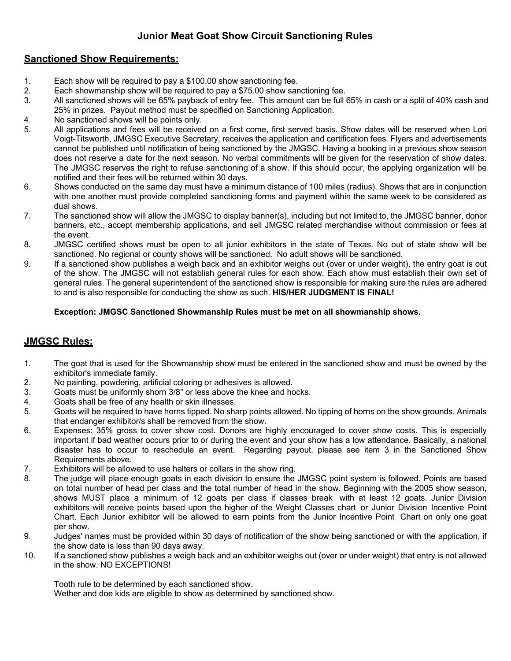# **Junior Meat Goat Show Circuit Sanctioning Rules**

### **Sanctioned Show Requirements:**

- 1. Each show will be required to pay a \$100.00 show sanctioning fee.
- 2. Each showmanship show will be required to pay a \$75.00 show sanctioning fee.
- 3. All sanctioned shows will be 65% payback of entry fee. This amount can be full 65% in cash or a split of 40% cash and 25% in prizes. Payout method must be specified on Sanctioning Application.
- 4. No sanctioned shows will be points only.
- 5. All applications and fees will be received on a first come, first served basis. Show dates will be reserved when Lori Voigt-Titsworth, JMGSC Executive Secretary, receives the application and certification fees. Flyers and advertisements cannot be published until notification of being sanctioned by the JMGSC. Having a booking in a previous show season does not reserve a date for the next season. No verbal commitments will be given for the reservation of show dates. The JMGSC reserves the right to refuse sanctioning of a show. If this should occur, the applying organization will be notified and their fees will be returned within 30 days.
- 6. Shows conducted on the same day must have a minimum distance of 100 miles (radius). Shows that are in conjunction with one another must provide completed sanctioning forms and payment within the same week to be considered as dual shows.
- 7. The sanctioned show will allow the JMGSC to display banner(s), including but not limited to, the JMGSC banner, donor banners, etc., accept membership applications, and sell JMGSC related merchandise without commission or fees at the event.
- 8. JMGSC certified shows must be open to all junior exhibitors in the state of Texas. No out of state show will be sanctioned. No regional or county shows will be sanctioned. No adult shows will be sanctioned.
- 9. If a sanctioned show publishes a weigh back and an exhibitor weighs out (over or under weight), the entry goat is out of the show. The JMGSC will not establish general rules for each show. Each show must establish their own set of general rules. The general superintendent of the sanctioned show is responsible for making sure the rules are adhered to and is also responsible for conducting the show as such. **HIS/HER JUDGMENT IS FINAL!**

#### **Exception: JMGSC Sanctioned Showmanship Rules must be met on all showmanship shows.**

# **JMGSC Rules:**

- 1. The goat that is used for the Showmanship show must be entered in the sanctioned show and must be owned by the exhibitor's immediate family.
- 2. No painting, powdering, artificial coloring or adhesives is allowed.
- 3. Goats must be uniformly shorn 3/8" or less above the knee and hocks.
- 4. Goats shall be free of any health or skin illnesses.
- 5. Goats will be required to have horns tipped. No sharp points allowed. No tipping of horns on the show grounds. Animals that endanger exhibitor/s shall be removed from the show.
- 6. Expenses: 35% gross to cover show cost. Donors are highly encouraged to cover show costs. This is especially important if bad weather occurs prior to or during the event and your show has a low attendance. Basically, a national disaster has to occur to reschedule an event. Regarding payout, please see item 3 in the Sanctioned Show Requirements above.
- 7. Exhibitors will be allowed to use halters or collars in the show ring.
- 8. The judge will place enough goats in each division to ensure the JMGSC point system is followed. Points are based on total number of head per class and the total number of head in the show. Beginning with the 2005 show season, shows MUST place a minimum of 12 goats per class if classes break with at least 12 goats. Junior Division exhibitors will receive points based upon the higher of the Weight Classes chart or Junior Division Incentive Point Chart. Each Junior exhibitor will be allowed to earn points from the Junior Incentive Point Chart on only one goat per show.
- 9. Judges' names must be provided within 30 days of notification of the show being sanctioned or with the application, if the show date is less than 90 days away.
- 10. If a sanctioned show publishes a weigh back and an exhibitor weighs out (over or under weight) that entry is not allowed in the show. NO EXCEPTIONS!

Tooth rule to be determined by each sanctioned show.

Wether and doe kids are eligible to show as determined by sanctioned show.